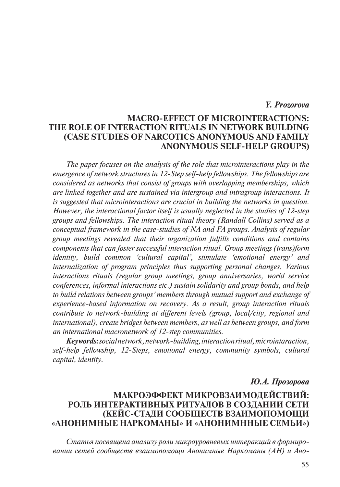## *Y. Prozorova*

## **Macro-Effect of Microinteractions: the Role of Interaction Rituals in Network Building (Case Studies of Narcotics Anonymous and Family Anonymous Self-Help groups)**

*The paper focuses on the analysis of the role that microinteractions play in the emergence of network structures in 12-Step self-help fellowships. The fellowships are considered as networks that consist of groups with overlapping memberships, which are linked together and are sustained via intergroup and intragroup interactions. It is suggested that microinteractions are crucial in building the networks in question. However, the interactional factor itself is usually neglected in the studies of 12-step groups and fellowships. The interaction ritual theory (Randall Collins) served as a conceptual framework in the case-studies of NA and FA groups. Analysis of regular group meetings revealed that their organization fulfills conditions and contains components that can foster successful interaction ritual. Group meetings (trans)form identity, build common 'cultural capital', stimulate 'emotional energy' and internalization of program principles thus supporting personal changes. Various interactions rituals (regular group meetings, group anniversaries, world service conferences, informal interactions etc.) sustain solidarity and group bonds, and help to build relations between groups' members through mutual support and exchange of experience-based information on recovery. As a result, group interaction rituals contribute to network-building at different levels (group, local/city, regional and international), create bridges between members, as well as between groups, and form an international macronetwork of 12-step communities.*

*Keywords: social network, network-building, interaction ritual, microintaraction, self-help fellowship, 12-Steps, emotional energy, community symbols, cultural capital, identity.*

#### *Ю.А. Прозорова*

# **Макроэффект микровзаимодействий: роль интерактивных ритуалов в создании сети (кейс-стади сообществ взаимопомощи «анонимные наркоманы» и «анонимнные семьи»)**

*Статья посвящена анализу роли микроуровневых интеракций в формировании сетей сообществ взаимопомощи Анонимные Наркоманы (АН) и Ано-*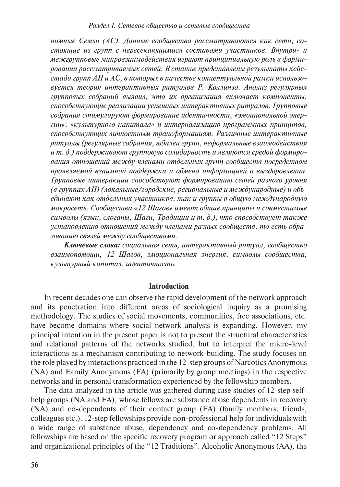*нимные Семьи (АС). Данные сообщества рассматриваются как сети, состоящие из групп с пересекающимися составами участников. Внутри- и межгрупповые микровзаимодействия играют принципиальную роль в формировании рассматриваемых сетей. В статье представлены результаты кейсстади групп АН и АС, в которых в качестве концептуальной рамки использовуется теория интерактивных ритуалов Р. Коллинза. Анализ регулярных групповых собраний выявил, что их организация включает компоненты, способствующие реализации успешных интерактивных ритуалов. Групповые собрания стимулируют формирование идентичности, «эмоциональной энергии», «культурного капитала» и интернализацию программных принципов, способствующих личностным трансформациям. Различные интерактивные ритуалы (регулярные собрания, юбилеи групп, неформальные взаимодействия и т. д.) поддерживают групповую солидарность и являются средой формирования отношений между членами отдельных групп сообществ посредством проявляемой взаимной поддержки и обмена информацией о выздоровлении. Групповые интеракции способствуют формированию сетей разного уровня (в группах АН) (локальные/городские, региональные и международные) и объединяют как отдельных участников, так и группы в общую международную макросеть. Сообщества «12 Шагов» имеют общие принципы и совместимые символы (язык, слоганы, Шаги, Традиции и т. д.), что способствует также установлению отношений между членами разных сообществ, то есть образованию связей между сообществами.* 

*Ключевые слова: социальная сеть, интерактивный ритуал, сообщество взаимопомощи, 12 Шагов, эмоциональная энергия, символы сообщества, культурный капитал, идентичность.*

#### **Introduction**

In recent decades one can observe the rapid development of the network approach and its penetration into different areas of sociological inquiry as a promising methodology. The studies of social movements, communities, free associations, etc. have become domains where social network analysis is expanding. However, my principal intention in the present paper is not to present the structural characteristics and relational patterns of the networks studied, but to interpret the micro-level interactions as a mechanism contributing to network-building. The study focuses on the role played by interactions practiced in the 12-step groups of Narcotics Anonymous (NA) and Family Anonymous (FA) (primarily by group meetings) in the respective networks and in personal transformation experienced by the fellowship members.

The data analyzed in the article was gathered during case studies of 12-step selfhelp groups (NA and FA), whose fellows are substance abuse dependents in recovery (NA) and co-dependents of their contact group (FA) (family members, friends, colleagues etc.). 12-step fellowships provide non-professional help for individuals with a wide range of substance abuse, dependency and co-dependency problems. All fellowships are based on the specific recovery program or approach called "12 Steps" and organizational principles of the "12 Traditions". Alcoholic Anonymous (AA), the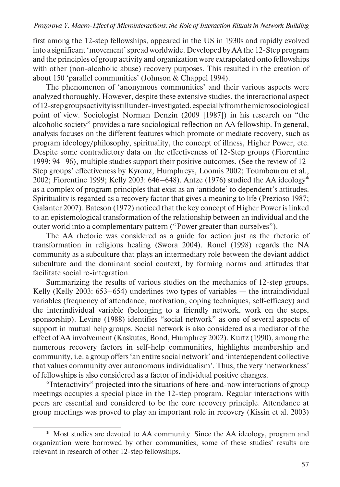first among the 12-step fellowships, appeared in the US in 1930s and rapidly evolved into a significant 'movement' spread worldwide. Developed by AA the 12-Step program and the principles of group activity and organization were extrapolated onto fellowships with other (non-alcoholic abuse) recovery purposes. This resulted in the creation of about 150 'parallel communities' (Johnson & Chappel 1994).

The phenomenon of 'anonymous communities' and their various aspects were analyzed thoroughly. However, despite these extensive studies, the interactional aspect of 12-step groups activity is still under-investigated, especially from the microsociological point of view. Sociologist Norman Denzin (2009 [1987]) in his research on "the alcoholic society" provides a rare sociological reflection on AA fellowship. In general, analysis focuses on the different features which promote or mediate recovery, such as program ideology/philosophy, spirituality, the concept of illness, Higher Power, etc. Despite some contradictory data on the effectiveness of 12-Step groups (Fiorentine 1999: 94–96), multiple studies support their positive outcomes. (See the review of 12- Step groups' effectiveness by Kyrouz, Humphreys, Loomis 2002; Toumbourou et al., 2002; Fiorentine 1999; Kelly 2003: 646–648). Antze (1976) studied the AA ideology\* as a complex of program principles that exist as an 'antidote' to dependent's attitudes. Spirituality is regarded as a recovery factor that gives a meaning to life (Prezioso 1987; Galanter 2007). Bateson (1972) noticed that the key concept of Higher Power is linked to an epistemological transformation of the relationship between an individual and the outer world into a complementary pattern ("Power greater than ourselves").

The AA rhetoric was considered as a guide for action just as the rhetoric of transformation in religious healing (Swora 2004). Ronel (1998) regards the NA community as a subculture that plays an intermediary role between the deviant addict subculture and the dominant social context, by forming norms and attitudes that facilitate social re-integration.

Summarizing the results of various studies on the mechanics of 12-step groups, Kelly (Kelly 2003: 653–654) underlines two types of variables — the intraindividual variables (frequency of attendance, motivation, coping techniques, self-efficacy) and the interindividual variable (belonging to a friendly network, work on the steps, sponsorship). Levine (1988) identifies "social network" as one of several aspects of support in mutual help groups. Social network is also considered as a mediator of the effect of AA involvement (Kaskutas, Bond, Humphrey 2002). Kurtz (1990), among the numerous recovery factors in self-help communities, highlights membership and community, i.e. a group offers 'an entire social network' and 'interdependent collective that values community over autonomous individualism'. Thus, the very 'networkness' of fellowships is also considered as a factor of individual positive changes.

"Interactivity" projected into the situations of here-and-now interactions of group meetings occupies a special place in the 12-step program. Regular interactions with peers are essential and considered to be the core recovery principle. Attendance at group meetings was proved to play an important role in recovery (Kissin et al. 2003)

<sup>\*</sup> Most studies are devoted to AA community. Since the AA ideology, program and organization were borrowed by other communities, some of these studies' results are relevant in research of other 12-step fellowships.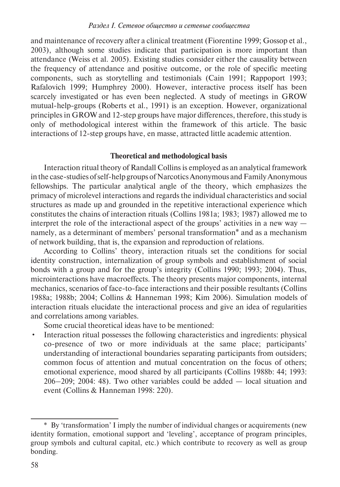and maintenance of recovery after a clinical treatment (Fiorentine 1999; Gossop et al., 2003), although some studies indicate that participation is more important than attendance (Weiss et al. 2005). Existing studies consider either the causality between the frequency of attendance and positive outcome, or the role of specific meeting components, such as storytelling and testimonials (Cain 1991; Rappoport 1993; Rafalovich 1999; Humphrey 2000). However, interactive process itself has been scarcely investigated or has even been neglected. A study of meetings in GROW mutual-help-groups (Roberts et al., 1991) is an exception. However, organizational principles in GROW and 12-step groups have major differences, therefore, this study is only of methodological interest within the framework of this article. The basic interactions of 12-step groups have, en masse, attracted little academic attention.

## **Theoretical and methodological basis**

Interaction ritual theory of Randall Collins is employed as an analytical framework in the case-studies of self-help groups of Narcotics Anonymous and Family Anonymous fellowships. The particular analytical angle of the theory, which emphasizes the primacy of microlevel interactions and regards the individual characteristics and social structures as made up and grounded in the repetitive interactional experience which constitutes the chains of interaction rituals (Collins 1981a; 1983; 1987) allowed me to interpret the role of the interactional aspect of the groups' activities in a new way namely, as a determinant of members' personal transformation\* and as a mechanism of network building, that is, the expansion and reproduction of relations.

According to Collins' theory, interaction rituals set the conditions for social identity construction, internalization of group symbols and establishment of social bonds with a group and for the group's integrity (Collins 1990; 1993; 2004). Thus, microinteractions have macroeffects. The theory presents major components, internal mechanics, scenarios of face-to-face interactions and their possible resultants (Collins 1988a; 1988b; 2004; Collins & Hanneman 1998; Kim 2006). Simulation models of interaction rituals elucidate the interactional process and give an idea of regularities and correlations among variables.

Some crucial theoretical ideas have to be mentioned:

• Interaction ritual possesses the following characteristics and ingredients: physical co-presence of two or more individuals at the same place; participants' understanding of interactional boundaries separating participants from outsiders; common focus of attention and mutual concentration on the focus of others; emotional experience, mood shared by all participants (Collins 1988b: 44; 1993: 206–209; 2004: 48). Two other variables could be added — local situation and event (Collins & Hanneman 1998: 220).

<sup>\*</sup> By 'transformation' I imply the number of individual changes or acquirements (new identity formation, emotional support and 'leveling', acceptance of program principles, group symbols and cultural capital, etc.) which contribute to recovery as well as group bonding.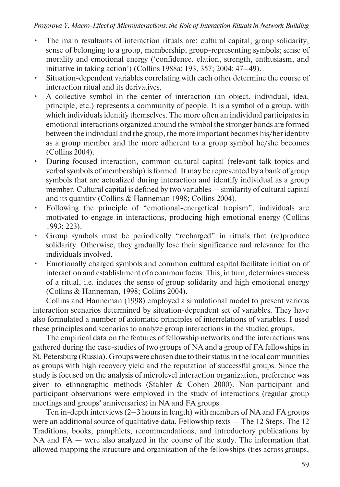## *Prozorova Y. Macro-Effect of Microinteractions: the Role of Interaction Rituals in Network Building*

- The main resultants of interaction rituals are: cultural capital, group solidarity, sense of belonging to a group, membership, group-representing symbols; sense of morality and emotional energy ('confidence, elation, strength, enthusiasm, and initiative in taking action') (Collins 1988a: 193, 357; 2004: 47–49).
- Situation-dependent variables correlating with each other determine the course of interaction ritual and its derivatives.
- A collective symbol in the center of interaction (an object, individual, idea, principle, etc.) represents a community of people. It is a symbol of a group, with which individuals identify themselves. The more often an individual participates in emotional interactions organized around the symbol the stronger bonds are formed between the individual and the group, the more important becomes his/her identity as a group member and the more adherent to a group symbol he/she becomes (Collins 2004).
- During focused interaction, common cultural capital (relevant talk topics and verbal symbols of membership) is formed. It may be represented by a bank of group symbols that are actualized during interaction and identify individual as a group member. Cultural capital is defined by two variables — similarity of cultural capital and its quantity (Collins & Hanneman 1998; Collins 2004).
- Following the principle of "emotional-energetical tropism", individuals are motivated to engage in interactions, producing high emotional energy (Collins 1993: 223).
- Group symbols must be periodically "recharged" in rituals that (re)produce solidarity. Otherwise, they gradually lose their significance and relevance for the individuals involved.
- Emotionally charged symbols and common cultural capital facilitate initiation of interaction and establishment of a common focus. This, in turn, determines success of a ritual, i.e. induces the sense of group solidarity and high emotional energy (Collins & Hanneman, 1998; Collins 2004).

Collins and Hanneman (1998) employed a simulational model to present various interaction scenarios determined by situation-dependent set of variables. They have also formulated a number of axiomatic principles of interrelations of variables. I used these principles and scenarios to analyze group interactions in the studied groups.

The empirical data on the features of fellowship networks and the interactions was gathered during the case-studies of two groups of NA and a group of FA fellowships in St. Petersburg (Russia). Groups were chosen due to their status in the local communities as groups with high recovery yield and the reputation of successful groups. Since the study is focused on the analysis of microlevel interaction organization, preference was given to ethnographic methods (Stahler & Cohen 2000). Non-participant and participant observations were employed in the study of interactions (regular group meetings and groups' anniversaries) in NA and FA groups.

Ten in-depth interviews (2–3 hours in length) with members of NA and FA groups were an additional source of qualitative data. Fellowship texts — The 12 Steps, The 12 Traditions, books, pamphlets, recommendations, and introductory publications by NA and FA — were also analyzed in the course of the study. The information that allowed mapping the structure and organization of the fellowships (ties across groups,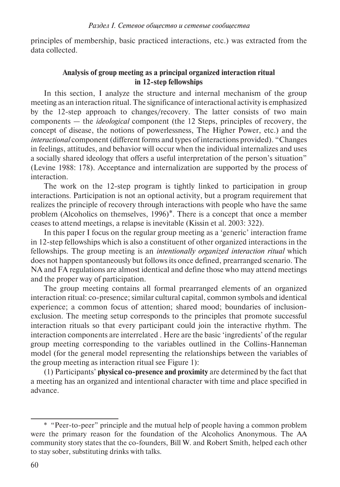principles of membership, basic practiced interactions, etc.) was extracted from the data collected.

## **Analysis of group meeting as a principal organized interaction ritual in 12-step fellowships**

In this section, I analyze the structure and internal mechanism of the group meeting as an interaction ritual. The significance of interactional activity is emphasized by the 12-step approach to changes/recovery. The latter consists of two main components — the *ideological* component (the 12 Steps, principles of recovery, the concept of disease, the notions of powerlessness, The Higher Power, etc.) and the *interactional* component (different forms and types of interactions provided). "Changes in feelings, attitudes, and behavior will occur when the individual internalizes and uses a socially shared ideology that offers a useful interpretation of the person's situation" (Levine 1988: 178). Acceptance and internalization are supported by the process of interaction.

The work on the 12-step program is tightly linked to participation in group interactions. Participation is not an optional activity, but a program requirement that realizes the principle of recovery through interactions with people who have the same problem (Alcoholics on themselves, 1996)\*. There is a concept that once a member ceases to attend meetings, a relapse is inevitable (Kissin et al. 2003: 322).

In this paper I focus on the regular group meeting as a 'generic' interaction frame in 12-step fellowships which is also a constituent of other organized interactions in the fellowships. The group meeting is an *intentionally organized interaction ritual* which does not happen spontaneously but follows its once defined, prearranged scenario. The NA and FA regulations are almost identical and define those who may attend meetings and the proper way of participation.

The group meeting contains all formal prearranged elements of an organized interaction ritual: co-presence; similar cultural capital, common symbols and identical experience; a common focus of attention; shared mood; boundaries of inclusionexclusion. The meeting setup corresponds to the principles that promote successful interaction rituals so that every participant could join the interactive rhythm. The interaction components are interrelated . Here are the basic 'ingredients' of the regular group meeting corresponding to the variables outlined in the Collins-Hanneman model (for the general model representing the relationships between the variables of the group meeting as interaction ritual see Figure 1):

(1) Participants' **physical co-presence and proximity** are determined by the fact that a meeting has an organized and intentional character with time and place specified in advance.

<sup>\*</sup> "Peer-to-peer" principle and the mutual help of people having a common problem were the primary reason for the foundation of the Alcoholics Anonymous. The AA community story states that the co-founders, Bill W. and Robert Smith, helped each other to stay sober, substituting drinks with talks.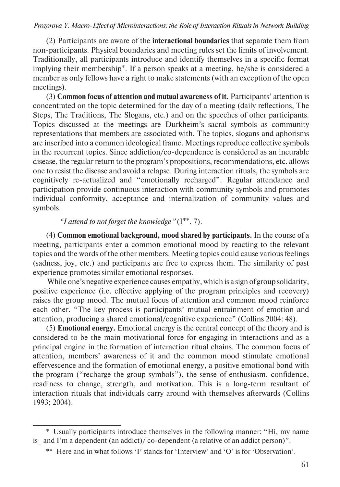(2) Participants are aware of the **interactional boundaries** that separate them from non-participants. Physical boundaries and meeting rules set the limits of involvement. Traditionally, all participants introduce and identify themselves in a specific format implying their membership\*. If a person speaks at a meeting, he/she is considered a member as only fellows have a right to make statements (with an exception of the open meetings).

(3) **Common focus of attention and mutual awareness of it.** Participants' attention is concentrated on the topic determined for the day of a meeting (daily reflections, The Steps, The Traditions, The Slogans, etc.) and on the speeches of other participants. Topics discussed at the meetings are Durkheim's sacral symbols as community representations that members are associated with. The topics, slogans and aphorisms are inscribed into a common ideological frame. Meetings reproduce collective symbols in the recurrent topics. Since addiction/co-dependence is considered as an incurable disease, the regular return to the program's propositions, recommendations, etc. allows one to resist the disease and avoid a relapse. During interaction rituals, the symbols are cognitively re-actualized and "emotionally recharged". Regular attendance and participation provide continuous interaction with community symbols and promotes individual conformity, acceptance and internalization of community values and symbols.

## *"I attend to not forget the knowledge"* (I\*\*. 7).

(4) **Common emotional background, mood shared by participants.** In the course of a meeting, participants enter a common emotional mood by reacting to the relevant topics and the words of the other members. Meeting topics could cause various feelings (sadness, joy, etc.) and participants are free to express them. The similarity of past experience promotes similar emotional responses.

 While one's negative experience causes empathy, which is a sign of group solidarity, positive experience (i.e. effective applying of the program principles and recovery) raises the group mood. The mutual focus of attention and common mood reinforce each other. "The key process is participants' mutual entrainment of emotion and attention, producing a shared emotional/cognitive experience" (Collins 2004: 48).

(5) **Emotional energy.** Emotional energy is the central concept of the theory and is considered to be the main motivational force for engaging in interactions and as a principal engine in the formation of interaction ritual chains. The common focus of attention, members' awareness of it and the common mood stimulate emotional effervescence and the formation of emotional energy, a positive emotional bond with the program ("recharge the group symbols"), the sense of enthusiasm, confidence, readiness to change, strength, and motivation. This is a long-term resultant of interaction rituals that individuals carry around with themselves afterwards (Collins 1993; 2004).

<sup>\*</sup> Usually participants introduce themselves in the following manner: "Hi, my name is and I'm a dependent (an addict)/ $\cot$  co-dependent (a relative of an addict person)".

<sup>\*\*</sup> Here and in what follows 'I' stands for 'Interview' and 'O' is for 'Observation'.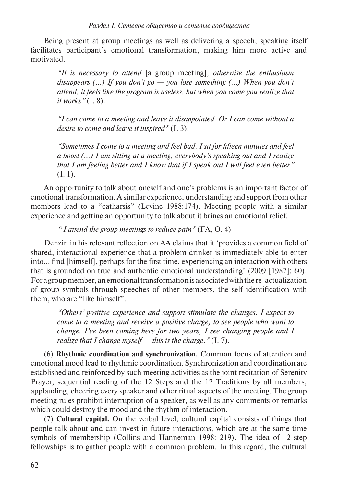Being present at group meetings as well as delivering a speech, speaking itself facilitates participant's emotional transformation, making him more active and motivated.

*"It is necessary to attend* [a group meeting]*, otherwise the enthusiasm disappears (…) If you don't go — you lose something (…) When you don't attend, it feels like the program is useless, but when you come you realize that it works"* (I. 8).

*"I can come to a meeting and leave it disappointed. Or I can come without a desire to come and leave it inspired"* (I. 3).

*"Sometimes I come to a meeting and feel bad. I sit for fifteen minutes and feel a boost (…) I am sitting at a meeting, everybody's speaking out and I realize that I am feeling better and I know that if I speak out I will feel even better"*  (I. 1).

An opportunity to talk about oneself and one's problems is an important factor of emotional transformation. A similar experience, understanding and support from other members lead to a "catharsis" (Levine 1988:174). Meeting people with a similar experience and getting an opportunity to talk about it brings an emotional relief.

"*I attend the group meetings to reduce pain"* (FA, O. 4)

Denzin in his relevant reflection on AA claims that it 'provides a common field of shared, interactional experience that a problem drinker is immediately able to enter into… find [himself], perhaps for the first time, experiencing an interaction with others that is grounded on true and authentic emotional understanding' (2009 [1987]: 60). For a group member, an emotional transformation is associated with the re-actualization of group symbols through speeches of other members, the self-identification with them, who are "like himself".

*"Others' positive experience and support stimulate the changes. I expect to come to a meeting and receive a positive charge, to see people who want to change. I've been coming here for two years, I see changing people and I realize that I change myself — this is the charge."* (I. 7).

(6) **Rhythmic coordination and synchronization.** Common focus of attention and emotional mood lead to rhythmic coordination. Synchronization and coordination are established and reinforced by such meeting activities as the joint recitation of Serenity Prayer, sequential reading of the 12 Steps and the 12 Traditions by all members, applauding, cheering every speaker and other ritual aspects of the meeting. The group meeting rules prohibit interruption of a speaker, as well as any comments or remarks which could destroy the mood and the rhythm of interaction.

(7) **Cultural capital.** On the verbal level, cultural capital consists of things that people talk about and can invest in future interactions, which are at the same time symbols of membership (Collins and Hanneman 1998: 219). The idea of 12-step fellowships is to gather people with a common problem. In this regard, the cultural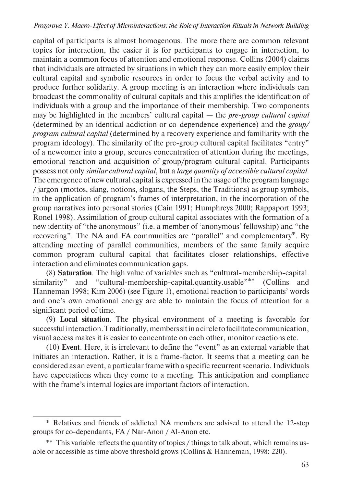capital of participants is almost homogenous. The more there are common relevant topics for interaction, the easier it is for participants to engage in interaction, to maintain a common focus of attention and emotional response. Collins (2004) claims that individuals are attracted by situations in which they can more easily employ their cultural capital and symbolic resources in order to focus the verbal activity and to produce further solidarity. A group meeting is an interaction where individuals can broadcast the commonality of cultural capitals and this amplifies the identification of individuals with a group and the importance of their membership. Two components may be highlighted in the members' cultural capital — the *pre-group cultural capital* (determined by an identical addiction or co-dependence experience) and the *group/ program cultural capital* (determined by a recovery experience and familiarity with the program ideology). The similarity of the pre-group cultural capital facilitates "entry" of a newcomer into a group, secures concentration of attention during the meetings, emotional reaction and acquisition of group/program cultural capital. Participants possess not only *similar cultural capital*, but a *large quantity of accessible cultural capital*. The emergence of new cultural capital is expressed in the usage of the program language / jargon (mottos, slang, notions, slogans, the Steps, the Traditions) as group symbols, in the application of program's frames of interpretation, in the incorporation of the group narratives into personal stories (Cain 1991; Humphreys 2000; Rappaport 1993; Ronel 1998). Assimilation of group cultural capital associates with the formation of a new identity of "the anonymous" (i.e. a member of 'anonymous' fellowship) and "the recovering". The NA and FA communities are "parallel" and complementary\*. By attending meeting of parallel communities, members of the same family acquire common program cultural capital that facilitates closer relationships, effective interaction and eliminates communication gaps.

(8) **Saturation**. The high value of variables such as "cultural-membership-capital. similarity" and "cultural-membership-capital.quantity.usable"\*\* (Collins and Hanneman 1998; Kim 2006) (see Figure 1), emotional reaction to participants' words and one's own emotional energy are able to maintain the focus of attention for a significant period of time.

(9) **Local situation**. The physical environment of a meeting is favorable for successful interaction. Traditionally, members sit in a circle to facilitate communication, visual access makes it is easier to concentrate on each other, monitor reactions etc.

(10) **Event**. Here, it is irrelevant to define the "event" as an external variable that initiates an interaction. Rather, it is a frame-factor. It seems that a meeting can be considered as an event, a particular frame with a specific recurrent scenario. Individuals have expectations when they come to a meeting. This anticipation and compliance with the frame's internal logics are important factors of interaction.

<sup>\*</sup> Relatives and friends of addicted NA members are advised to attend the 12-step groups for co-dependants, FA / Nar-Anon / Al-Anon etc.

<sup>\*\*</sup> This variable reflects the quantity of topics / things to talk about, which remains usable or accessible as time above threshold grows (Collins & Hanneman, 1998: 220).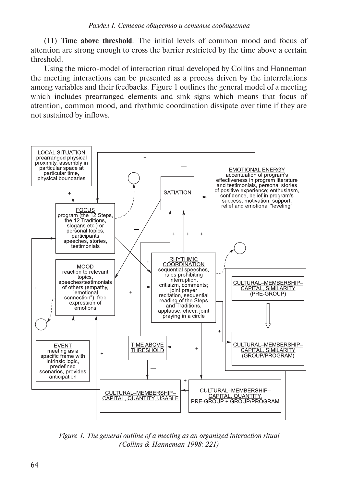(11) **Time above threshold**. The initial levels of common mood and focus of attention are strong enough to cross the barrier restricted by the time above a certain threshold.

Using the micro-model of interaction ritual developed by Collins and Hanneman the meeting interactions can be presented as a process driven by the interrelations among variables and their feedbacks. Figure 1 outlines the general model of a meeting which includes prearranged elements and sink signs which means that focus of attention, common mood, and rhythmic coordination dissipate over time if they are not sustained by inflows.



*Figure 1. The general outline of a meeting as an organized interaction ritual (Collins & Hanneman 1998: 221)*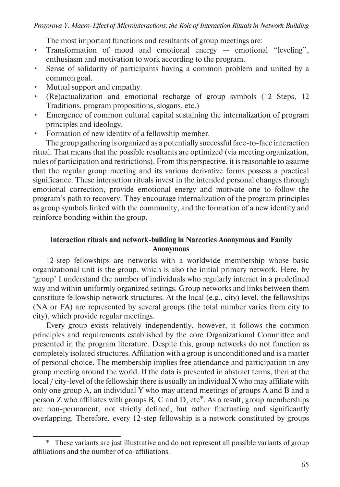The most important functions and resultants of group meetings are:

- Transformation of mood and emotional energy emotional "leveling", enthusiasm and motivation to work according to the program.
- Sense of solidarity of participants having a common problem and united by a common goal.
- Mutual support and empathy.
- (Re)actualization and emotional recharge of group symbols (12 Steps, 12 Traditions, program propositions, slogans, etc.)
- Emergence of common cultural capital sustaining the internalization of program principles and ideology.
- Formation of new identity of a fellowship member.

The group gathering is organized as a potentially successful face-to-face interaction ritual. That means that the possible resultants are optimized (via meeting organization, rules of participation and restrictions). From this perspective, it is reasonable to assume that the regular group meeting and its various derivative forms possess a practical significance. These interaction rituals invest in the intended personal changes through emotional correction, provide emotional energy and motivate one to follow the program's path to recovery. They encourage internalization of the program principles as group symbols linked with the community, and the formation of a new identity and reinforce bonding within the group.

## **Interaction rituals and network-building in Narcotics Anonymous and Family Anonymous**

12-step fellowships are networks with a worldwide membership whose basic organizational unit is the group, which is also the initial primary network. Here, by 'group' I understand the number of individuals who regularly interact in a predefined way and within uniformly organized settings. Group networks and links between them constitute fellowship network structures. At the local (e.g., city) level, the fellowships (NA or FA) are represented by several groups (the total number varies from city to city), which provide regular meetings.

Every group exists relatively independently, however, it follows the common principles and requirements established by the core Organizational Committee and presented in the program literature. Despite this, group networks do not function as completely isolated structures. Affiliation with a group is unconditioned and is a matter of personal choice. The membership implies free attendance and participation in any group meeting around the world. If the data is presented in abstract terms, then at the local / city-level of the fellowship there is usually an individual X who may affiliate with only one group A, an individual Y who may attend meetings of groups A and B and a person Z who affiliates with groups B, C and D, etc\*. As a result, group memberships are non-permanent, not strictly defined, but rather fluctuating and significantly overlapping. Therefore, every 12-step fellowship is a network constituted by groups

<sup>\*</sup> These variants are just illustrative and do not represent all possible variants of group affiliations and the number of co-affiliations.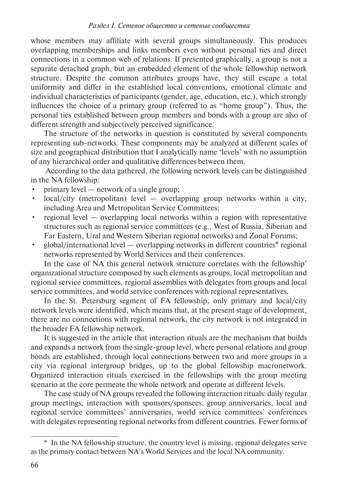whose members may affiliate with several groups simultaneously. This produces overlapping memberships and links members even without personal ties and direct connections in a common web of relations. If presented graphically, a group is not a separate detached graph, but an embedded element of the whole fellowship network structure. Despite the common attributes groups have, they still escape a total uniformity and differ in the established local conventions, emotional climate and individual characteristics of participants (gender, age, education, etc.), which strongly influences the choice of a primary group (referred to as "home group"). Thus, the personal ties established between group members and bonds with a group are also of different strength and subjectively perceived significance.

The structure of the networks in question is constituted by several components representing sub-networks. These components may be analyzed at different scales of size and geographical distribution that I analytically name 'levels' with no assumption of any hierarchical order and qualitative differences between them.

 According to the data gathered, the following network levels can be distinguished in the NA fellowship:

- primary level network of a single group;
- local/city (metropolitan) level overlapping group networks within a city, including Area and Metropolitan Service Committees;
- regional level overlapping local networks within a region with representative structures such as regional service committees (e.g., West of Russia, Siberian and Far Eastern, Ural and Western Siberian regional networks) and Zonal Forums;
- global/international level overlapping networks in different countries\* regional networks represented by World Services and their conferences.

In the case of NA this general network structure correlates with the fellowship' organizational structure composed by such elements as groups, local metropolitan and regional service committees, regional assemblies with delegates from groups and local service committees, and world service conferences with regional representatives.

In the St. Petersburg segment of FA fellowship, only primary and local/city network levels were identified, which means that, at the present stage of development, there are no connections with regional network, the city network is not integrated in the broader FA fellowship network.

It is suggested in the article that interaction rituals are the mechanism that builds and expands a network from the single-group level, where personal relations and group bonds are established, through local connections between two and more groups in a city via regional intergroup bridges, up to the global fellowship macronetwork. Organized interaction rituals exercised in the fellowships with the group meeting scenario at the core permeate the whole network and operate at different levels.

The case study of NA groups revealed the following interaction rituals: daily regular group meetings, interaction with sponsors/sponsees, group anniversaries, local and regional service committees' anniversaries, world service committees' conferences with delegates representing regional networks from different countries. Fewer forms of

<sup>\*</sup> In the NA fellowship structure, the country level is missing, regional delegates serve as the primary contact between NA's World Services and the local NA community.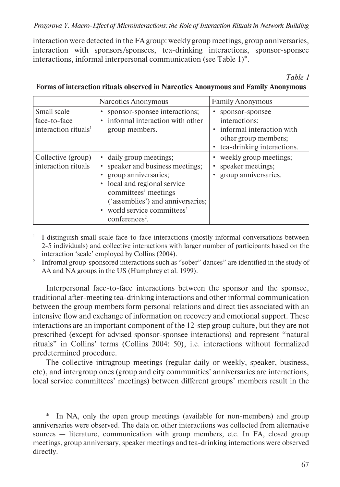interaction were detected in the FA group: weekly group meetings, group anniversaries, interaction with sponsors/sponsees, tea-drinking interactions, sponsor-sponsee interactions, informal interpersonal communication (see Table 1)\*.

*Table 1* 

|                                                                 | Narcotics Anonymous                                                                                                                                                                                                         | <b>Family Anonymous</b>                                                                                               |
|-----------------------------------------------------------------|-----------------------------------------------------------------------------------------------------------------------------------------------------------------------------------------------------------------------------|-----------------------------------------------------------------------------------------------------------------------|
| Small scale<br>face-to-face<br>interaction rituals <sup>1</sup> | sponsor-sponsee interactions;<br>informal interaction with other<br>group members.                                                                                                                                          | sponsor-sponsee<br>interactions;<br>• informal interaction with<br>other group members;<br>tea-drinking interactions. |
| Collective (group)<br>interaction rituals                       | daily group meetings;<br>speaker and business meetings;<br>group anniversaries;<br>local and regional service<br>committees' meetings<br>('assemblies') and anniversaries;<br>world service committees'<br>$conferences2$ . | • weekly group meetings;<br>speaker meetings;<br>group anniversaries.                                                 |

## **Forms of interaction rituals observed in Narcotics Anonymous and Family Anonymous**

- <sup>1</sup> I distinguish small-scale face-to-face interactions (mostly informal conversations between 2-5 individuals) and collective interactions with larger number of participants based on the interaction 'scale' employed by Collins (2004).
- <sup>2</sup> Infromal group-sponsored interactions such as "sober" dances" are identified in the study of AA and NA groups in the US (Humphrey et al. 1999).

Interpersonal face-to-face interactions between the sponsor and the sponsee, traditional after-meeting tea-drinking interactions and other informal communication between the group members form personal relations and direct ties associated with an intensive flow and exchange of information on recovery and emotional support. These interactions are an important component of the 12-step group culture, but they are not prescribed (except for advised sponsor-sponsee interactions) and represent "natural rituals" in Collins' terms (Collins 2004: 50), i.e. interactions without formalized predetermined procedure.

The collective intragroup meetings (regular daily or weekly, speaker, business, etc), and intergroup ones (group and city communities' anniversaries are interactions, local service committees' meetings) between different groups' members result in the

<sup>\*</sup> In NA, only the open group meetings (available for non-members) and group anniversaries were observed. The data on other interactions was collected from alternative sources — literature, communication with group members, etc. In FA, closed group meetings, group anniversary, speaker meetings and tea-drinking interactions were observed directly.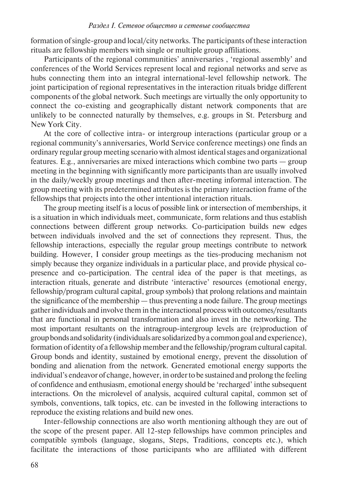formation of single-group and local/city networks. The participants of these interaction rituals are fellowship members with single or multiple group affiliations.

Participants of the regional communities' anniversaries , 'regional assembly' and conferences of the World Services represent local and regional networks and serve as hubs connecting them into an integral international-level fellowship network. The joint participation of regional representatives in the interaction rituals bridge different components of the global network. Such meetings are virtually the only opportunity to connect the co-existing and geographically distant network components that are unlikely to be connected naturally by themselves, e.g. groups in St. Petersburg and New York City.

At the core of collective intra- or intergroup interactions (particular group or a regional community's anniversaries, World Service conference meetings) one finds an ordinary regular group meeting scenario with almost identical stages and organizational features. E.g., anniversaries are mixed interactions which combine two parts — group meeting in the beginning with significantly more participants than are usually involved in the daily/weekly group meetings and then after-meeting informal interaction. The group meeting with its predetermined attributes is the primary interaction frame of the fellowships that projects into the other intentional interaction rituals.

The group meeting itself is a locus of possible link or intersection of memberships, it is a situation in which individuals meet, communicate, form relations and thus establish connections between different group networks. Co-participation builds new edges between individuals involved and the set of connections they represent. Thus, the fellowship interactions, especially the regular group meetings contribute to network building. However, I consider group meetings as the ties-producing mechanism not simply because they organize individuals in a particular place, and provide physical copresence and co-participation. The central idea of the paper is that meetings, as interaction rituals, generate and distribute 'interactive' resources (emotional energy, fellowship/program cultural capital, group symbols) that prolong relations and maintain the significance of the membership — thus preventing a node failure. The group meetings gather individuals and involve them in the interactional process with outcomes/resultants that are functional in personal transformation and also invest in the networking. The most important resultants on the intragroup-intergroup levels are (re)production of group bonds and solidarity (individuals are solidarized by a common goal and experience), formation of identity of a fellowship member and the fellowship/program cultural capital. Group bonds and identity, sustained by emotional energy, prevent the dissolution of bonding and alienation from the network. Generated emotional energy supports the individual's endeavor of change, however, in order to be sustained and prolong the feeling of confidence and enthusiasm, emotional energy should be 'recharged' inthe subsequent interactions. On the microlevel of analysis, acquired cultural capital, common set of symbols, conventions, talk topics, etc. can be invested in the following interactions to reproduce the existing relations and build new ones.

Inter-fellowship connections are also worth mentioning although they are out of the scope of the present paper. All 12-step fellowships have common principles and compatible symbols (language, slogans, Steps, Traditions, concepts etc.), which facilitate the interactions of those participants who are affiliated with different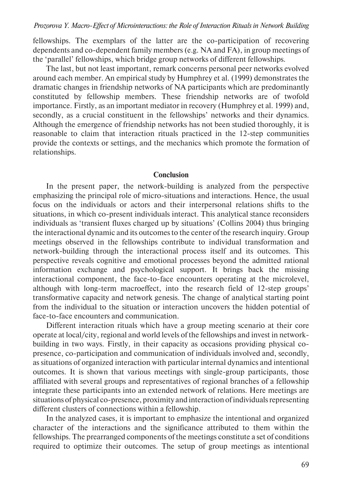fellowships. The exemplars of the latter are the co-participation of recovering dependents and co-dependent family members (e.g. NA and FA), in group meetings of the 'parallel' fellowships, which bridge group networks of different fellowships.

The last, but not least important, remark concerns personal peer networks evolved around each member. An empirical study by Humphrey et al. (1999) demonstrates the dramatic changes in friendship networks of NA participants which are predominantly constituted by fellowship members. These friendship networks are of twofold importance. Firstly, as an important mediator in recovery (Humphrey et al. 1999) and, secondly, as a crucial constituent in the fellowships' networks and their dynamics. Although the emergence of friendship networks has not been studied thoroughly, it is reasonable to claim that interaction rituals practiced in the 12-step communities provide the contexts or settings, and the mechanics which promote the formation of relationships.

#### **Conclusion**

In the present paper, the network-building is analyzed from the perspective emphasizing the principal role of micro-situations and interactions. Hence, the usual focus on the individuals or actors and their interpersonal relations shifts to the situations, in which co-present individuals interact. This analytical stance reconsiders individuals as 'transient fluxes charged up by situations' (Collins 2004) thus bringing the interactional dynamic and its outcomes to the center of the research inquiry. Group meetings observed in the fellowships contribute to individual transformation and network-building through the interactional process itself and its outcomes. This perspective reveals cognitive and emotional processes beyond the admitted rational information exchange and psychological support. It brings back the missing interactional component, the face-to-face encounters operating at the microlevel, although with long-term macroeffect, into the research field of 12-step groups' transformative capacity and network genesis. The change of analytical starting point from the individual to the situation or interaction uncovers the hidden potential of face-to-face encounters and communication.

Different interaction rituals which have a group meeting scenario at their core operate at local/city, regional and world levels of the fellowships and invest in networkbuilding in two ways. Firstly, in their capacity as occasions providing physical copresence, co-participation and communication of individuals involved and, secondly, as situations of organized interaction with particular internal dynamics and intentional outcomes. It is shown that various meetings with single-group participants, those affiliated with several groups and representatives of regional branches of a fellowship integrate these participants into an extended network of relations. Here meetings are situations of physical co-presence, proximity and interaction of individuals representing different clusters of connections within a fellowship.

In the analyzed cases, it is important to emphasize the intentional and organized character of the interactions and the significance attributed to them within the fellowships. The prearranged components of the meetings constitute a set of conditions required to optimize their outcomes. The setup of group meetings as intentional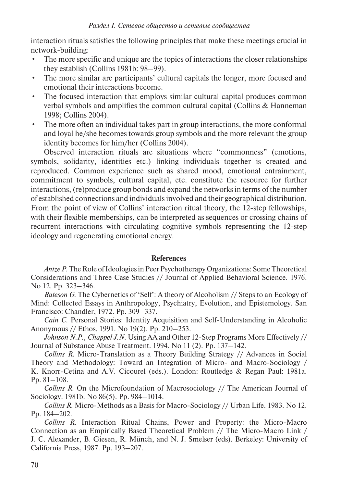interaction rituals satisfies the following principles that make these meetings crucial in network-building:

- The more specific and unique are the topics of interactions the closer relationships they establish (Collins 1981b: 98–99).
- The more similar are participants' cultural capitals the longer, more focused and emotional their interactions become.
- The focused interaction that employs similar cultural capital produces common verbal symbols and amplifies the common cultural capital (Collins & Hanneman 1998; Collins 2004).
- The more often an individual takes part in group interactions, the more conformal and loyal he/she becomes towards group symbols and the more relevant the group identity becomes for him/her (Collins 2004).

Observed interaction rituals are situations where "commonness" (emotions, symbols, solidarity, identities etc.) linking individuals together is created and reproduced. Common experience such as shared mood, emotional entrainment, commitment to symbols, cultural capital, etc. constitute the resource for further interactions, (re)produce group bonds and expand the networks in terms of the number of established connections and individuals involved and their geographical distribution. From the point of view of Collins' interaction ritual theory, the 12-step fellowships, with their flexible memberships, can be interpreted as sequences or crossing chains of recurrent interactions with circulating cognitive symbols representing the 12-step ideology and regenerating emotional energy.

## **References**

*Antze P*. The Role of Ideologies in Peer Psychotherapy Organizations: Some Theoretical Considerations and Three Case Studies // Journal of Applied Behavioral Science. 1976. No 12. Pp. 323–346.

*Bateson G*. The Cybernetics of 'Self': A theory of Alcoholism // Steps to an Ecology of Mind: Collected Essays in Anthropology, Psychiatry, Evolution, and Epistemology. San Francisco: Chandler, 1972. Pp. 309–337.

*Cain C*. Personal Stories: Identity Acquisition and Self-Understanding in Alcoholic Anonymous // Ethos. 1991. No 19(2). Pp. 210–253.

*Johnson N.P., Chappel J.N*. Using AA and Other 12-Step Programs More Effectively // Journal of Substance Abuse Treatment. 1994. No 11 (2). Pp. 137–142.

*Collins R*. Micro-Translation as a Theory Building Strategy // Advances in Social Theory and Methodology: Toward an Integration of Micro- and Macro-Sociology / K. Knorr-Cetina and A.V. Cicourel (eds.). London: Routledge & Regan Paul: 1981a. Pp. 81–108.

*Collins R*. On the Microfoundation of Macrosociology // The American Journal of Sociology. 1981b. No 86(5). Pp. 984–1014.

*Collins R*. Micro-Methods as a Basis for Macro-Sociology // Urban Life. 1983. No 12. Pp. 184–202.

*Collins R*. Interaction Ritual Chains, Power and Property: the Micro-Macro Connection as an Empirically Based Theoretical Problem // The Micro-Macro Link / J. C. Alexander, B. Giesen, R. Münch, and N. J. Smelser (eds). Berkeley: University of California Press, 1987. Pp. 193–207.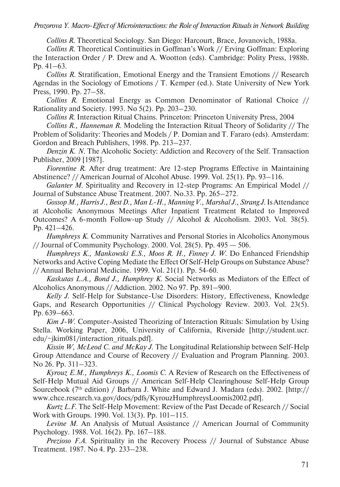#### *Prozorova Y. Macro-Effect of Microinteractions: the Role of Interaction Rituals in Network Building*

*Collins R*. Theoretical Sociology. San Diego: Harcourt, Brace, Jovanovich, 1988a.

*Collins R*. Theoretical Continuities in Goffman's Work // Erving Goffman: Exploring the Interaction Order / P. Drew and A. Wootton (eds). Cambridge: Polity Press, 1988b. Pp. 41–63.

*Collins R*. Stratification, Emotional Energy and the Transient Emotions // Research Agendas in the Sociology of Emotions / T. Kemper (ed.). State University of New York Press, 1990. Pp. 27–58.

*Collins R*. Emotional Energy as Common Denominator of Rational Choice // Rationality and Society. 1993. No 5(2). Pp. 203–230.

*Collins R*. Interaction Ritual Chains. Princeton: Princeton University Press, 2004

*Collins R., Hanneman R*. Modeling the Interaction Ritual Theory of Solidarity // The Problem of Solidarity: Theories and Models / P. Domian and T. Fararo (eds). Amsterdam: Gordon and Breach Publishers, 1998. Pp. 213–237.

*Denzin K. N*. The Alcoholic Society: Addiction and Recovery of the Self. Transaction Publisher, 2009 [1987].

*Fiorentine R*. After drug treatment: Are 12-step Programs Effective in Maintaining Abstinence? // American Journal of Alcohol Abuse. 1999. Vol. 25(1). Pp. 93–116.

*Galanter M*. Spirituality and Recovery in 12-step Programs: An Empirical Model // Journal of Substance Abuse Treatment. 2007. No.33. Pp. 265–272.

*Gossop M., Harris J., Best D., Man L-H., Manning V., Marshal J., Strang J*. Is Attendance at Alcoholic Anonymous Meetings After Inpatient Treatment Related to Improved Outcomes? A 6-month Follow-up Study // Alcohol & Alcoholism. 2003. Vol. 38(5). Pp. 421–426.

*Humphreys K*. Community Narratives and Personal Stories in Alcoholics Anonymous // Journal of Community Psychology. 2000. Vol. 28(5). Pp.  $495 - 506$ .

*Humphreys K., Mankowski E.S., Moos R. H., Finney J. W*. Do Enhanced Friendship Networks and Active Coping Mediate the Effect Of Self-Help Groups on Substance Abuse? // Annual Behavioral Medicine. 1999. Vol. 21(1). Pp. 54-60.

*Kaskutas L.A., Bond J., Humphrey K*. Social Networks as Mediators of the Effect of Alcoholics Anonymous // Addiction. 2002. No 97. Pp. 891–900.

*Kelly J*. Self-Help for Substance-Use Disorders: History, Effectiveness, Knowledge Gaps, and Research Opportunities // Clinical Psychology Review. 2003. Vol. 23(5). Pp. 639–663.

*Kim J-W*. Computer-Assisted Theorizing of Interaction Rituals: Simulation by Using Stella. Working Paper, 2006, University of California, Riverside [http://student.ucr. edu/~jkim081/interaction\_rituals.pdf].

*Kissin W, McLeod C. and McKay J*. The Longitudinal Relationship between Self-Help Group Attendance and Course of Recovery // Evaluation and Program Planning. 2003. No 26. Pp. 311–323.

*Kyrouz E.M., Humphreys K., Loomis C*. A Review of Research on the Effectiveness of Self-Help Mutual Aid Groups // American Self-Help Clearinghouse Self-Help Group Sourcebook (7th edition) / Barbara J. White and Edward J. Madara (eds). 2002. [http:// www.chce.research.va.gov/docs/pdfs/KyrouzHumphreysLoomis2002.pdf].

*Kurtz L.F*. The Self-Help Movement: Review of the Past Decade of Research // Social Work with Groups. 1990. Vol. 13(3). Pp. 101–115.

*Levine M*. An Analysis of Mutual Assistance // American Journal of Community Psychology. 1988. Vol. 16(2). Pp. 167–188.

*Prezioso F.A*. Spirituality in the Recovery Process // Journal of Substance Abuse Treatment. 1987. No 4. Pp. 233–238.